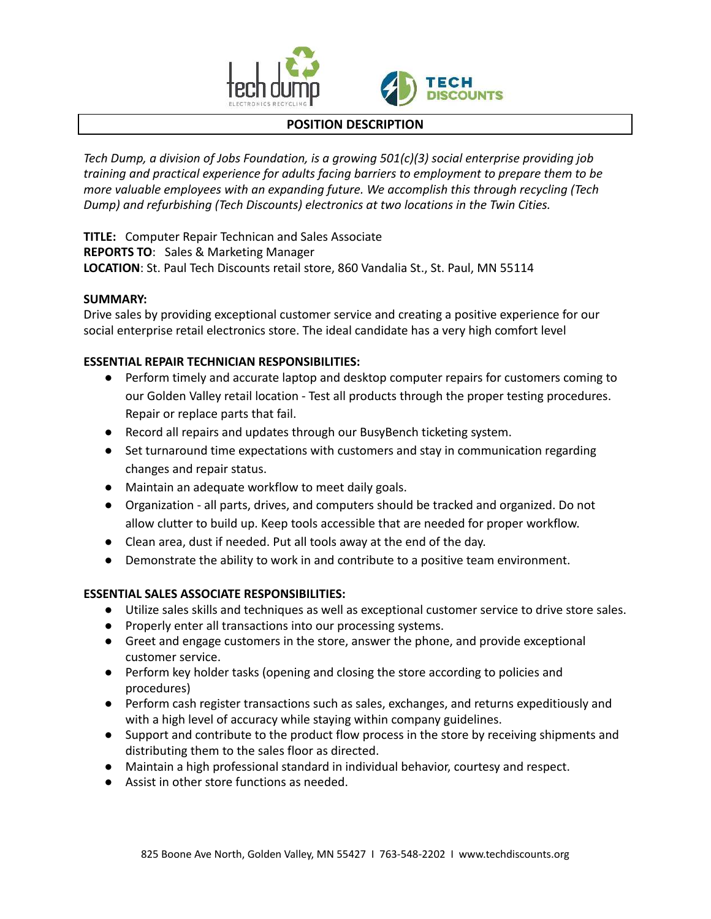



# **POSITION DESCRIPTION**

*Tech Dump, a division of Jobs Foundation, is a growing 501(c)(3) social enterprise providing job training and practical experience for adults facing barriers to employment to prepare them to be more valuable employees with an expanding future. We accomplish this through recycling (Tech Dump) and refurbishing (Tech Discounts) electronics at two locations in the Twin Cities.*

**TITLE:** Computer Repair Technican and Sales Associate **REPORTS TO**: Sales & Marketing Manager **LOCATION**: St. Paul Tech Discounts retail store, 860 Vandalia St., St. Paul, MN 55114

# **SUMMARY:**

Drive sales by providing exceptional customer service and creating a positive experience for our social enterprise retail electronics store. The ideal candidate has a very high comfort level

# **ESSENTIAL REPAIR TECHNICIAN RESPONSIBILITIES:**

- Perform timely and accurate laptop and desktop computer repairs for customers coming to our Golden Valley retail location - Test all products through the proper testing procedures. Repair or replace parts that fail.
- Record all repairs and updates through our BusyBench ticketing system.
- Set turnaround time expectations with customers and stay in communication regarding changes and repair status.
- Maintain an adequate workflow to meet daily goals.
- Organization all parts, drives, and computers should be tracked and organized. Do not allow clutter to build up. Keep tools accessible that are needed for proper workflow.
- Clean area, dust if needed. Put all tools away at the end of the day.
- Demonstrate the ability to work in and contribute to a positive team environment.

#### **ESSENTIAL SALES ASSOCIATE RESPONSIBILITIES:**

- Utilize sales skills and techniques as well as exceptional customer service to drive store sales.
- Properly enter all transactions into our processing systems.
- Greet and engage customers in the store, answer the phone, and provide exceptional customer service.
- Perform key holder tasks (opening and closing the store according to policies and procedures)
- Perform cash register transactions such as sales, exchanges, and returns expeditiously and with a high level of accuracy while staying within company guidelines.
- Support and contribute to the product flow process in the store by receiving shipments and distributing them to the sales floor as directed.
- Maintain a high professional standard in individual behavior, courtesy and respect.
- Assist in other store functions as needed.